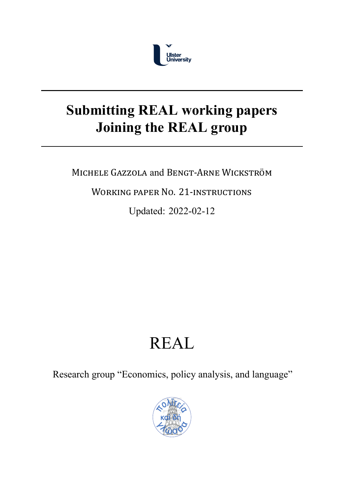

# **Submitting REAL working papers Joining the REAL group**

MICHELE GAZZOLA and BENGT‐ARNE WICKSTRÖM

WORKING PAPER NO. 21‐INSTRUCTIONS

Updated: 2022-02-12

# REAL

Research group "Economics, policy analysis, and language"

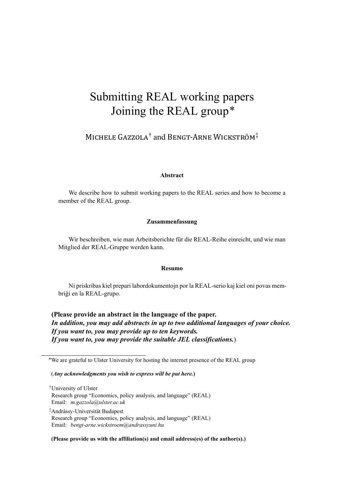# Submitting REAL working papers Joining the REAL group\*

# MICHELE GAZZOLA† and BENGT‐ARNE WICKSTRÖM‡

#### **Abstract**

We describe how to submit working papers to the REAL series and how to become a member of the REAL group.

#### **Zusammenfassung**

Wir beschreiben, wie man Arbeitsberichte für die REAL-Reihe einreicht, und wie man Mitglied der REAL-Gruppe werden kann.

#### **Resumo**

Ni priskribas kiel prepari labordokumentojn por la REAL-serio kaj kiel oni povas membriĝi en la REAL-grupo.

**(Please provide an abstract in the language of the paper.** *In addition, you may add abstracts in up to two additional languages of your choice. If you want to, you may provide up to ten keywords. If you want to, you may provide the suitable JEL classifications.*)

\*We are grateful to Ulster University for hosting the internet presence of the REAL group

#### (*Any acknowledgments you wish to express will be put here.***)**

†University of Ulster Research group "Economics, policy analysis, and language" (REAL) Email: *m.gazzola@ulster.ac.uk*

‡ Andrássy-Universität Budapest Research group "Economics, policy analysis, and language" (REAL) Email: *[bengt-arne.wickstroem@](mailto:m.gazzola@ulster.ac.uk)andrassyuni.hu*

#### **(Please provide us with the affiliation(s) and email address(es) of the author(s).)**